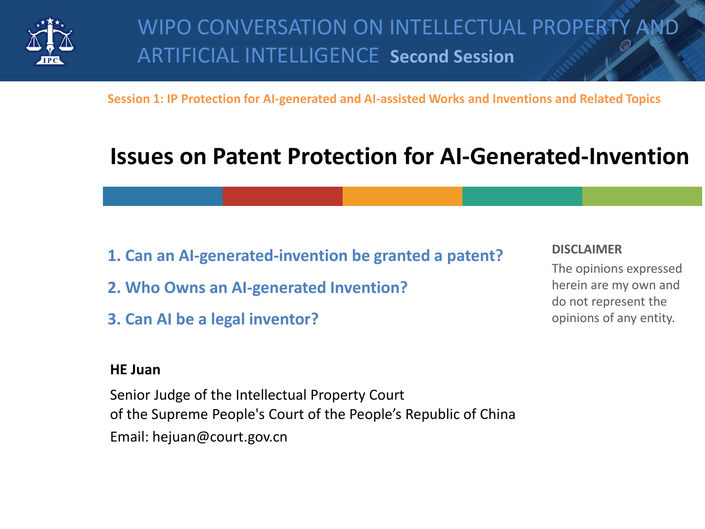

**Session 1: IP Protection for AI-generated and AI-assisted Works and Inventions and Related Topics**

# **Issues on Patent Protection for AI-Generated-Invention**

- **1. Can an AI-generated-invention be granted a patent?**
- **2. Who Owns an AI-generated Invention?**
- **3. Can AI be a legal inventor?**

### **HE Juan**

Senior Judge of the Intellectual Property Court of the Supreme People's Court of the People's Republic of China Email: hejuan@court.gov.cn

#### **DISCLAIMER**

The opinions expressed herein are my own and do not represent the opinions of any entity.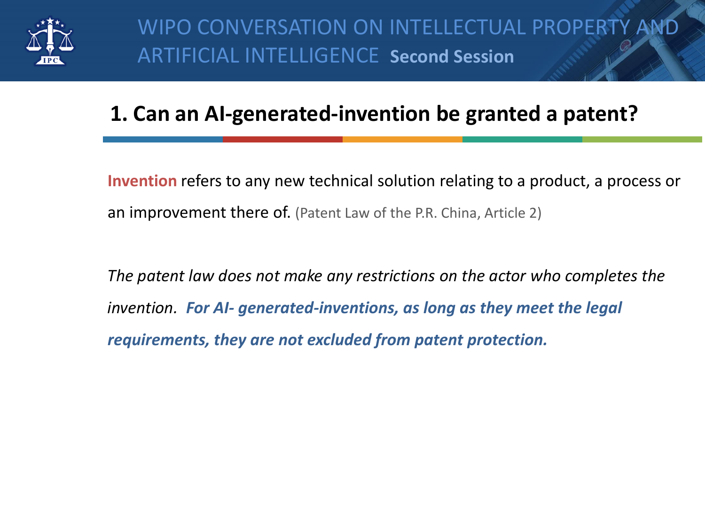

### **1. Can an AI-generated-invention be granted a patent?**

**Invention** refers to any new technical solution relating to a product, a process or an improvement there of. (Patent Law of the P.R. China, Article 2)

*The patent law does not make any restrictions on the actor who completes the invention. For AI- generated-inventions, as long as they meet the legal requirements, they are not excluded from patent protection.*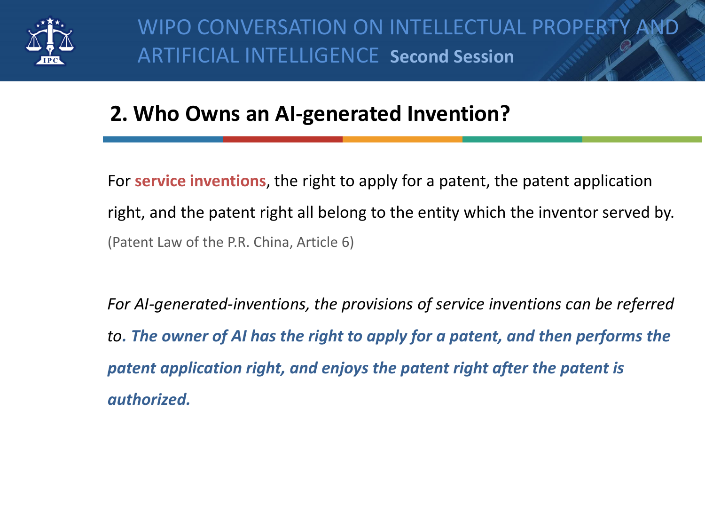

### **2. Who Owns an AI-generated Invention?**

For **service inventions**, the right to apply for a patent, the patent application right, and the patent right all belong to the entity which the inventor served by. (Patent Law of the P.R. China, Article 6)

*For AI-generated-inventions, the provisions of service inventions can be referred to. The owner of AI has the right to apply for a patent, and then performs the patent application right, and enjoys the patent right after the patent is authorized.*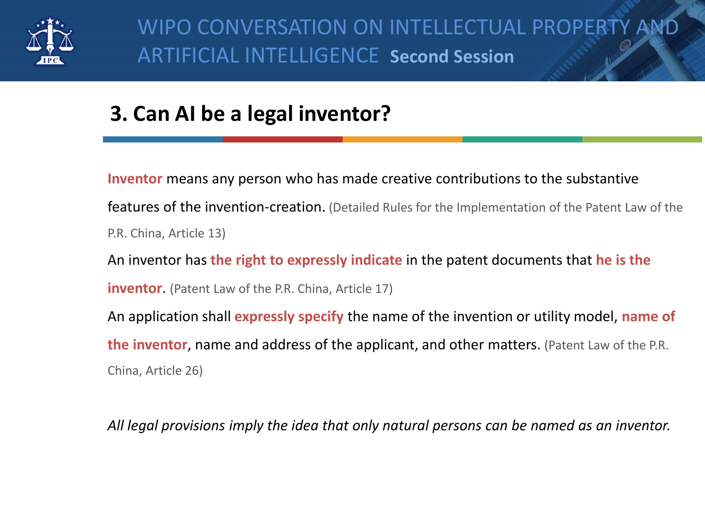

# **3. Can AI be a legal inventor?**

**Inventor** means any person who has made creative contributions to the substantive features of the invention-creation. (Detailed Rules for the Implementation of the Patent Law of the P.R. China, Article 13) An inventor has **the right to expressly indicate** in the patent documents that **he is the inventor.** (Patent Law of the P.R. China, Article 17) An application shall **expressly specify** the name of the invention or utility model, **name of the inventor**, name and address of the applicant, and other matters. (Patent Law of the P.R. China, Article 26)

*All legal provisions imply the idea that only natural persons can be named as an inventor.*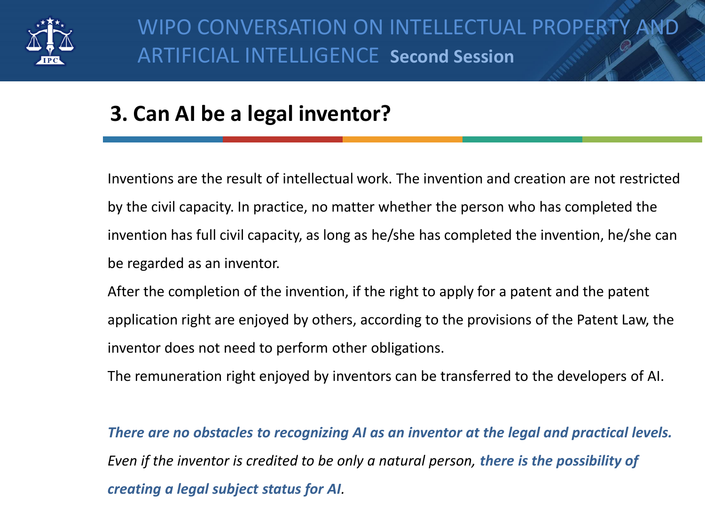

## **3. Can AI be a legal inventor?**

Inventions are the result of intellectual work. The invention and creation are not restricted by the civil capacity. In practice, no matter whether the person who has completed the invention has full civil capacity, as long as he/she has completed the invention, he/she can be regarded as an inventor.

After the completion of the invention, if the right to apply for a patent and the patent application right are enjoyed by others, according to the provisions of the Patent Law, the inventor does not need to perform other obligations.

The remuneration right enjoyed by inventors can be transferred to the developers of AI.

*There are no obstacles to recognizing AI as an inventor at the legal and practical levels. Even if the inventor is credited to be only a natural person, there is the possibility of creating a legal subject status for AI.*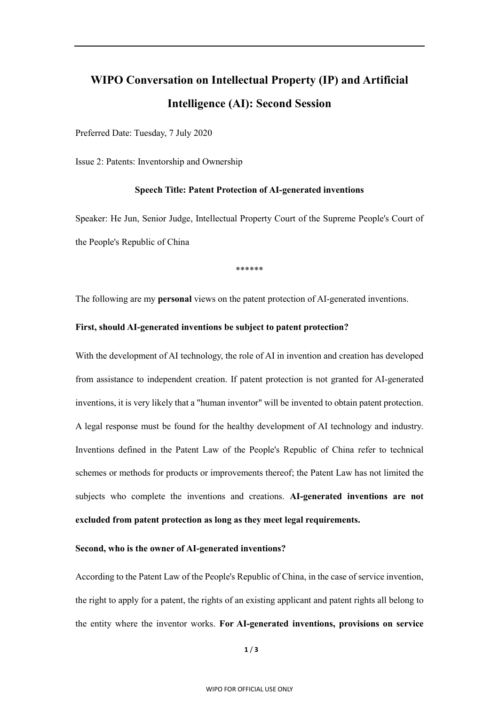### **WIPO Conversation on Intellectual Property (IP) and Artificial Intelligence (AI): Second Session**

Preferred Date: Tuesday, 7 July 2020

Issue 2: Patents: Inventorship and Ownership

#### **Speech Title: Patent Protection of AI-generated inventions**

Speaker: He Jun, Senior Judge, Intellectual Property Court of the Supreme People's Court of the People's Republic of China

\*\*\*\*\*\*

The following are my **personal** views on the patent protection of AI-generated inventions.

#### **First, should AI-generated inventions be subject to patent protection?**

With the development of AI technology, the role of AI in invention and creation has developed from assistance to independent creation. If patent protection is not granted for AI-generated inventions, it is very likely that a "human inventor" will be invented to obtain patent protection. A legal response must be found for the healthy development of AI technology and industry. Inventions defined in the Patent Law of the People's Republic of China refer to technical schemes or methods for products or improvements thereof; the Patent Law has not limited the subjects who complete the inventions and creations. **AI-generated inventions are not excluded from patent protection as long as they meet legal requirements.**

#### **Second, who is the owner of AI-generated inventions?**

According to the Patent Law of the People's Republic of China, in the case of service invention, the right to apply for a patent, the rights of an existing applicant and patent rights all belong to the entity where the inventor works. **For AI-generated inventions, provisions on service**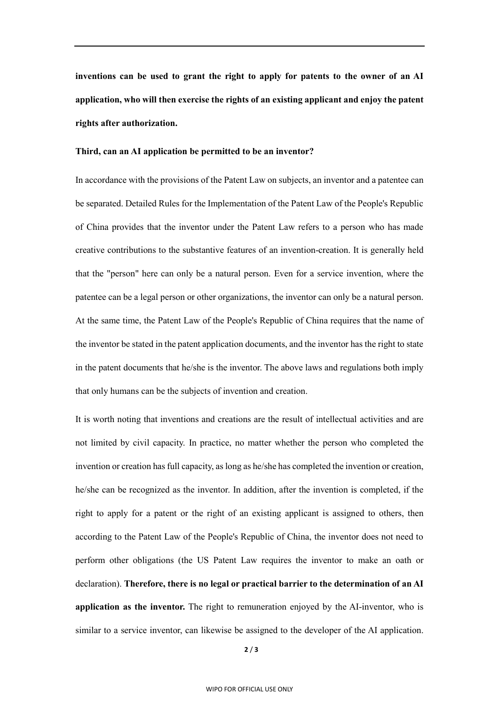**inventions can be used to grant the right to apply for patents to the owner of an AI application, who will then exercise the rights of an existing applicant and enjoy the patent rights after authorization.**

#### **Third, can an AI application be permitted to be an inventor?**

In accordance with the provisions of the Patent Law on subjects, an inventor and a patentee can be separated. Detailed Rules for the Implementation of the Patent Law of the People's Republic of China provides that the inventor under the Patent Law refers to a person who has made creative contributions to the substantive features of an invention-creation. It is generally held that the "person" here can only be a natural person. Even for a service invention, where the patentee can be a legal person or other organizations, the inventor can only be a natural person. At the same time, the Patent Law of the People's Republic of China requires that the name of the inventor be stated in the patent application documents, and the inventor has the right to state in the patent documents that he/she is the inventor. The above laws and regulations both imply that only humans can be the subjects of invention and creation.

It is worth noting that inventions and creations are the result of intellectual activities and are not limited by civil capacity. In practice, no matter whether the person who completed the invention or creation has full capacity, as long as he/she has completed the invention or creation, he/she can be recognized as the inventor. In addition, after the invention is completed, if the right to apply for a patent or the right of an existing applicant is assigned to others, then according to the Patent Law of the People's Republic of China, the inventor does not need to perform other obligations (the US Patent Law requires the inventor to make an oath or declaration). **Therefore, there is no legal or practical barrier to the determination of an AI application as the inventor.** The right to remuneration enjoyed by the AI-inventor, who is similar to a service inventor, can likewise be assigned to the developer of the AI application.